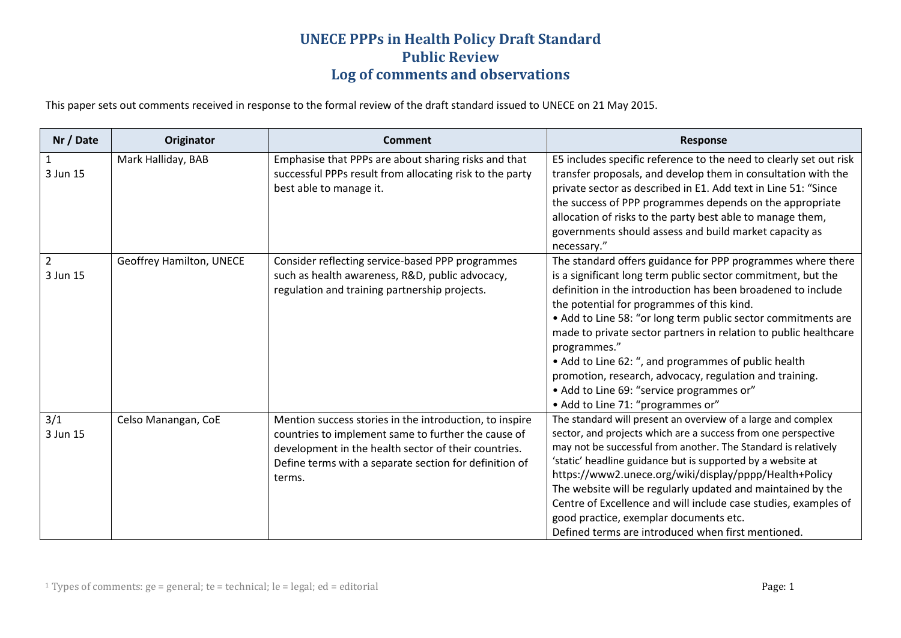This paper sets out comments received in response to the formal review of the draft standard issued to UNECE on 21 May 2015.

| Nr / Date                  | Originator               | <b>Comment</b>                                                                                                                                                                                                                             | <b>Response</b>                                                                                                                                                                                                                                                                                                                                                                                                                                                                                                                                                                                     |
|----------------------------|--------------------------|--------------------------------------------------------------------------------------------------------------------------------------------------------------------------------------------------------------------------------------------|-----------------------------------------------------------------------------------------------------------------------------------------------------------------------------------------------------------------------------------------------------------------------------------------------------------------------------------------------------------------------------------------------------------------------------------------------------------------------------------------------------------------------------------------------------------------------------------------------------|
| 1<br>3 Jun 15              | Mark Halliday, BAB       | Emphasise that PPPs are about sharing risks and that<br>successful PPPs result from allocating risk to the party<br>best able to manage it.                                                                                                | E5 includes specific reference to the need to clearly set out risk<br>transfer proposals, and develop them in consultation with the<br>private sector as described in E1. Add text in Line 51: "Since<br>the success of PPP programmes depends on the appropriate<br>allocation of risks to the party best able to manage them,<br>governments should assess and build market capacity as<br>necessary."                                                                                                                                                                                            |
| $\overline{2}$<br>3 Jun 15 | Geoffrey Hamilton, UNECE | Consider reflecting service-based PPP programmes<br>such as health awareness, R&D, public advocacy,<br>regulation and training partnership projects.                                                                                       | The standard offers guidance for PPP programmes where there<br>is a significant long term public sector commitment, but the<br>definition in the introduction has been broadened to include<br>the potential for programmes of this kind.<br>• Add to Line 58: "or long term public sector commitments are<br>made to private sector partners in relation to public healthcare<br>programmes."<br>• Add to Line 62: ", and programmes of public health<br>promotion, research, advocacy, regulation and training.<br>• Add to Line 69: "service programmes or"<br>• Add to Line 71: "programmes or" |
| 3/1<br>3 Jun 15            | Celso Manangan, CoE      | Mention success stories in the introduction, to inspire<br>countries to implement same to further the cause of<br>development in the health sector of their countries.<br>Define terms with a separate section for definition of<br>terms. | The standard will present an overview of a large and complex<br>sector, and projects which are a success from one perspective<br>may not be successful from another. The Standard is relatively<br>'static' headline guidance but is supported by a website at<br>https://www2.unece.org/wiki/display/pppp/Health+Policy<br>The website will be regularly updated and maintained by the<br>Centre of Excellence and will include case studies, examples of<br>good practice, exemplar documents etc.<br>Defined terms are introduced when first mentioned.                                          |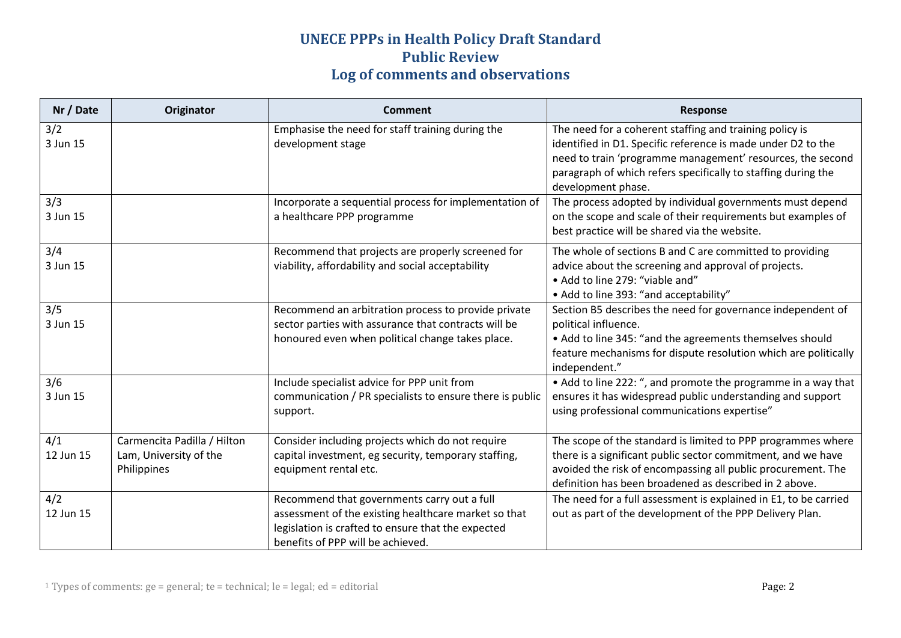| Nr / Date        | Originator                                                           | <b>Comment</b>                                                                                                                                                                                 | <b>Response</b>                                                                                                                                                                                                                                                              |
|------------------|----------------------------------------------------------------------|------------------------------------------------------------------------------------------------------------------------------------------------------------------------------------------------|------------------------------------------------------------------------------------------------------------------------------------------------------------------------------------------------------------------------------------------------------------------------------|
| 3/2<br>3 Jun 15  |                                                                      | Emphasise the need for staff training during the<br>development stage                                                                                                                          | The need for a coherent staffing and training policy is<br>identified in D1. Specific reference is made under D2 to the<br>need to train 'programme management' resources, the second<br>paragraph of which refers specifically to staffing during the<br>development phase. |
| 3/3<br>3 Jun 15  |                                                                      | Incorporate a sequential process for implementation of<br>a healthcare PPP programme                                                                                                           | The process adopted by individual governments must depend<br>on the scope and scale of their requirements but examples of<br>best practice will be shared via the website.                                                                                                   |
| 3/4<br>3 Jun 15  |                                                                      | Recommend that projects are properly screened for<br>viability, affordability and social acceptability                                                                                         | The whole of sections B and C are committed to providing<br>advice about the screening and approval of projects.<br>• Add to line 279: "viable and"<br>• Add to line 393: "and acceptability"                                                                                |
| 3/5<br>3 Jun 15  |                                                                      | Recommend an arbitration process to provide private<br>sector parties with assurance that contracts will be<br>honoured even when political change takes place.                                | Section B5 describes the need for governance independent of<br>political influence.<br>• Add to line 345: "and the agreements themselves should<br>feature mechanisms for dispute resolution which are politically<br>independent."                                          |
| 3/6<br>3 Jun 15  |                                                                      | Include specialist advice for PPP unit from<br>communication / PR specialists to ensure there is public<br>support.                                                                            | • Add to line 222: ", and promote the programme in a way that<br>ensures it has widespread public understanding and support<br>using professional communications expertise"                                                                                                  |
| 4/1<br>12 Jun 15 | Carmencita Padilla / Hilton<br>Lam, University of the<br>Philippines | Consider including projects which do not require<br>capital investment, eg security, temporary staffing,<br>equipment rental etc.                                                              | The scope of the standard is limited to PPP programmes where<br>there is a significant public sector commitment, and we have<br>avoided the risk of encompassing all public procurement. The<br>definition has been broadened as described in 2 above.                       |
| 4/2<br>12 Jun 15 |                                                                      | Recommend that governments carry out a full<br>assessment of the existing healthcare market so that<br>legislation is crafted to ensure that the expected<br>benefits of PPP will be achieved. | The need for a full assessment is explained in E1, to be carried<br>out as part of the development of the PPP Delivery Plan.                                                                                                                                                 |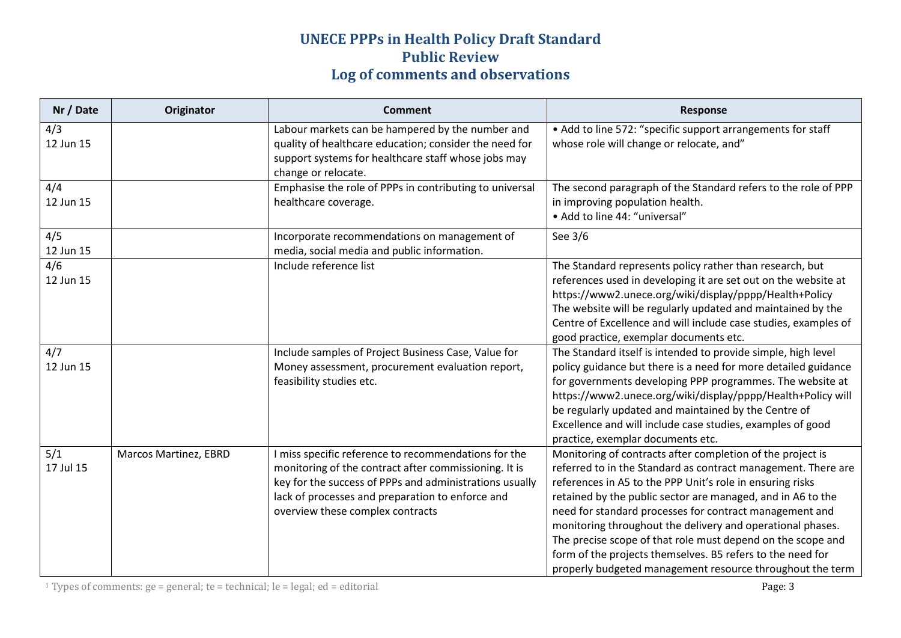| Nr / Date        | Originator                   | <b>Comment</b>                                                                                                                                                                                                                                                   | Response                                                                                                                                                                                                                                                                                                                                                                                                                                                                                                                                                                   |
|------------------|------------------------------|------------------------------------------------------------------------------------------------------------------------------------------------------------------------------------------------------------------------------------------------------------------|----------------------------------------------------------------------------------------------------------------------------------------------------------------------------------------------------------------------------------------------------------------------------------------------------------------------------------------------------------------------------------------------------------------------------------------------------------------------------------------------------------------------------------------------------------------------------|
| 4/3<br>12 Jun 15 |                              | Labour markets can be hampered by the number and<br>quality of healthcare education; consider the need for<br>support systems for healthcare staff whose jobs may<br>change or relocate.                                                                         | • Add to line 572: "specific support arrangements for staff<br>whose role will change or relocate, and"                                                                                                                                                                                                                                                                                                                                                                                                                                                                    |
| 4/4<br>12 Jun 15 |                              | Emphasise the role of PPPs in contributing to universal<br>healthcare coverage.                                                                                                                                                                                  | The second paragraph of the Standard refers to the role of PPP<br>in improving population health.<br>• Add to line 44: "universal"                                                                                                                                                                                                                                                                                                                                                                                                                                         |
| 4/5<br>12 Jun 15 |                              | Incorporate recommendations on management of<br>media, social media and public information.                                                                                                                                                                      | See 3/6                                                                                                                                                                                                                                                                                                                                                                                                                                                                                                                                                                    |
| 4/6<br>12 Jun 15 |                              | Include reference list                                                                                                                                                                                                                                           | The Standard represents policy rather than research, but<br>references used in developing it are set out on the website at<br>https://www2.unece.org/wiki/display/pppp/Health+Policy<br>The website will be regularly updated and maintained by the<br>Centre of Excellence and will include case studies, examples of<br>good practice, exemplar documents etc.                                                                                                                                                                                                           |
| 4/7<br>12 Jun 15 |                              | Include samples of Project Business Case, Value for<br>Money assessment, procurement evaluation report,<br>feasibility studies etc.                                                                                                                              | The Standard itself is intended to provide simple, high level<br>policy guidance but there is a need for more detailed guidance<br>for governments developing PPP programmes. The website at<br>https://www2.unece.org/wiki/display/pppp/Health+Policy will<br>be regularly updated and maintained by the Centre of<br>Excellence and will include case studies, examples of good<br>practice, exemplar documents etc.                                                                                                                                                     |
| 5/1<br>17 Jul 15 | <b>Marcos Martinez, EBRD</b> | I miss specific reference to recommendations for the<br>monitoring of the contract after commissioning. It is<br>key for the success of PPPs and administrations usually<br>lack of processes and preparation to enforce and<br>overview these complex contracts | Monitoring of contracts after completion of the project is<br>referred to in the Standard as contract management. There are<br>references in A5 to the PPP Unit's role in ensuring risks<br>retained by the public sector are managed, and in A6 to the<br>need for standard processes for contract management and<br>monitoring throughout the delivery and operational phases.<br>The precise scope of that role must depend on the scope and<br>form of the projects themselves. B5 refers to the need for<br>properly budgeted management resource throughout the term |

<sup>1</sup> Types of comments: ge = general; te = technical; le = legal; ed = editorial  $Page: 3$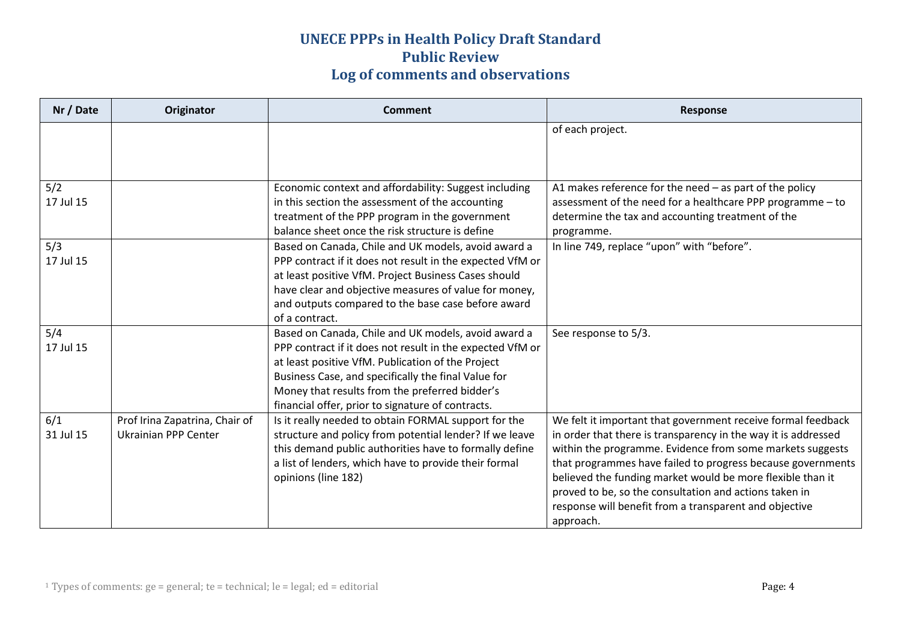| Nr / Date        | Originator                                                    | <b>Comment</b>                                                                                                                                                                                                                                                                                                                      | <b>Response</b>                                                                                                                                                                                                                                                                                                                                                                                                                                           |
|------------------|---------------------------------------------------------------|-------------------------------------------------------------------------------------------------------------------------------------------------------------------------------------------------------------------------------------------------------------------------------------------------------------------------------------|-----------------------------------------------------------------------------------------------------------------------------------------------------------------------------------------------------------------------------------------------------------------------------------------------------------------------------------------------------------------------------------------------------------------------------------------------------------|
|                  |                                                               |                                                                                                                                                                                                                                                                                                                                     | of each project.                                                                                                                                                                                                                                                                                                                                                                                                                                          |
|                  |                                                               |                                                                                                                                                                                                                                                                                                                                     |                                                                                                                                                                                                                                                                                                                                                                                                                                                           |
| 5/2<br>17 Jul 15 |                                                               | Economic context and affordability: Suggest including<br>in this section the assessment of the accounting                                                                                                                                                                                                                           | A1 makes reference for the need $-$ as part of the policy<br>assessment of the need for a healthcare PPP programme - to                                                                                                                                                                                                                                                                                                                                   |
|                  |                                                               | treatment of the PPP program in the government<br>balance sheet once the risk structure is define                                                                                                                                                                                                                                   | determine the tax and accounting treatment of the<br>programme.                                                                                                                                                                                                                                                                                                                                                                                           |
| 5/3<br>17 Jul 15 |                                                               | Based on Canada, Chile and UK models, avoid award a<br>PPP contract if it does not result in the expected VfM or<br>at least positive VfM. Project Business Cases should<br>have clear and objective measures of value for money,<br>and outputs compared to the base case before award<br>of a contract.                           | In line 749, replace "upon" with "before".                                                                                                                                                                                                                                                                                                                                                                                                                |
| 5/4<br>17 Jul 15 |                                                               | Based on Canada, Chile and UK models, avoid award a<br>PPP contract if it does not result in the expected VfM or<br>at least positive VfM. Publication of the Project<br>Business Case, and specifically the final Value for<br>Money that results from the preferred bidder's<br>financial offer, prior to signature of contracts. | See response to 5/3.                                                                                                                                                                                                                                                                                                                                                                                                                                      |
| 6/1<br>31 Jul 15 | Prof Irina Zapatrina, Chair of<br><b>Ukrainian PPP Center</b> | Is it really needed to obtain FORMAL support for the<br>structure and policy from potential lender? If we leave<br>this demand public authorities have to formally define<br>a list of lenders, which have to provide their formal<br>opinions (line 182)                                                                           | We felt it important that government receive formal feedback<br>in order that there is transparency in the way it is addressed<br>within the programme. Evidence from some markets suggests<br>that programmes have failed to progress because governments<br>believed the funding market would be more flexible than it<br>proved to be, so the consultation and actions taken in<br>response will benefit from a transparent and objective<br>approach. |